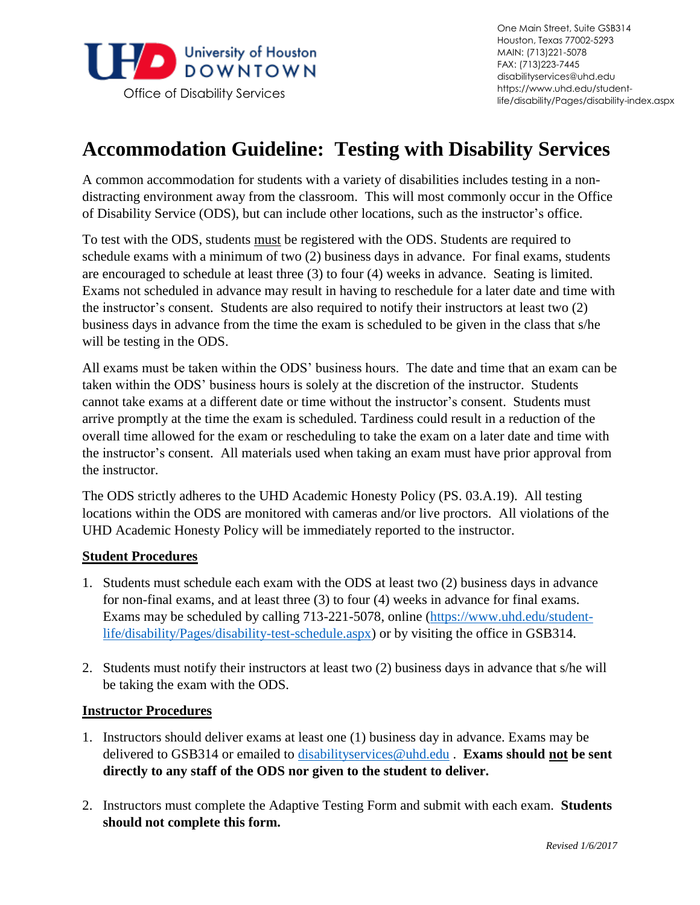

## **Accommodation Guideline: Testing with Disability Services**

 of Disability Service (ODS), but can include other locations, such as the instructor's office. A common accommodation for students with a variety of disabilities includes testing in a nondistracting environment away from the classroom. This will most commonly occur in the Office

 the instructor's consent. Students are also required to notify their instructors at least two (2) business days in advance from the time the exam is scheduled to be given in the class that s/he To test with the ODS, students must be registered with the ODS. Students are required to schedule exams with a minimum of two (2) business days in advance. For final exams, students are encouraged to schedule at least three (3) to four (4) weeks in advance. Seating is limited. Exams not scheduled in advance may result in having to reschedule for a later date and time with will be testing in the ODS.

 All exams must be taken within the ODS' business hours. The date and time that an exam can be cannot take exams at a different date or time without the instructor's consent. Students must overall time allowed for the exam or rescheduling to take the exam on a later date and time with the instructor's consent. All materials used when taking an exam must have prior approval from taken within the ODS' business hours is solely at the discretion of the instructor. Students arrive promptly at the time the exam is scheduled. Tardiness could result in a reduction of the the instructor.

 The ODS strictly adheres to the UHD Academic Honesty Policy (PS. 03.A.19). All testing UHD Academic Honesty Policy will be immediately reported to the instructor. locations within the ODS are monitored with cameras and/or live proctors. All violations of the

## **Student Procedures**

- for non-final exams, and at least three (3) to four (4) weeks in advance for final exams. 1. Students must schedule each exam with the ODS at least two (2) business days in advance Exams may be scheduled by calling 713-221-5078, online [\(https://www.uhd.edu/student](https://www.uhd.edu/student-life/disability/Pages/disability-test-schedule.aspx)[life/disability/Pages/disability-test-schedule.aspx\)](https://www.uhd.edu/student-life/disability/Pages/disability-test-schedule.aspx) or by visiting the office in GSB314.
- 2. Students must notify their instructors at least two (2) business days in advance that s/he will be taking the exam with the ODS.

## **Instructor Procedures**

- delivered to GSB314 or emailed to [disabilityservices@uhd.edu](mailto:disabilityservices@uhd.edu) . **Exams should not be sent** 1. Instructors should deliver exams at least one (1) business day in advance. Exams may be **directly to any staff of the ODS nor given to the student to deliver.**
- 2. Instructors must complete the Adaptive Testing Form and submit with each exam. **Students should not complete this form.**